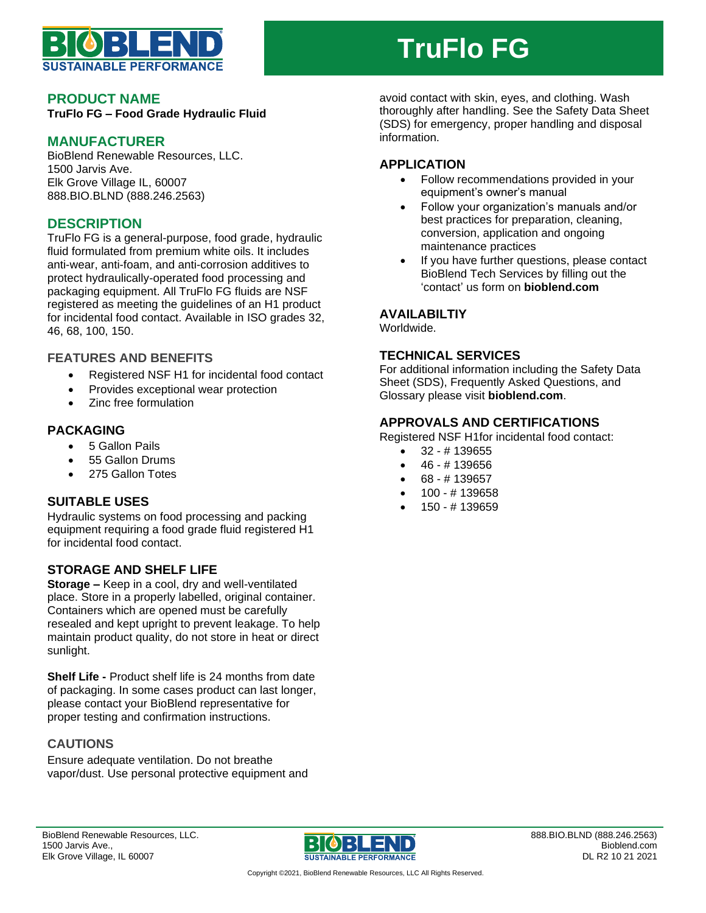

# **TruFlo FG**

#### **PRODUCT NAME**

**TruFlo FG – Food Grade Hydraulic Fluid**

### **MANUFACTURER**

BioBlend Renewable Resources, LLC. 1500 Jarvis Ave. Elk Grove Village IL, 60007 888.BIO.BLND (888.246.2563)

## **DESCRIPTION**

TruFlo FG is a general-purpose, food grade, hydraulic fluid formulated from premium white oils. It includes anti-wear, anti-foam, and anti-corrosion additives to protect hydraulically-operated food processing and packaging equipment. All TruFlo FG fluids are NSF registered as meeting the guidelines of an H1 product for incidental food contact. Available in ISO grades 32, 46, 68, 100, 150.

#### **FEATURES AND BENEFITS**

- Registered NSF H1 for incidental food contact
- Provides exceptional wear protection
- Zinc free formulation

#### **PACKAGING**

- 5 Gallon Pails
- 55 Gallon Drums
- 275 Gallon Totes

#### **SUITABLE USES**

Hydraulic systems on food processing and packing equipment requiring a food grade fluid registered H1 for incidental food contact.

#### **STORAGE AND SHELF LIFE**

**Storage –** Keep in a cool, dry and well-ventilated place. Store in a properly labelled, original container. Containers which are opened must be carefully resealed and kept upright to prevent leakage. To help maintain product quality, do not store in heat or direct sunlight.

**Shelf Life -** Product shelf life is 24 months from date of packaging. In some cases product can last longer, please contact your BioBlend representative for proper testing and confirmation instructions.

#### **CAUTIONS**

Ensure adequate ventilation. Do not breathe vapor/dust. Use personal protective equipment and avoid contact with skin, eyes, and clothing. Wash thoroughly after handling. See the Safety Data Sheet (SDS) for emergency, proper handling and disposal information.

## **APPLICATION**

- Follow recommendations provided in your equipment's owner's manual
- Follow your organization's manuals and/or best practices for preparation, cleaning, conversion, application and ongoing maintenance practices
- If you have further questions, please contact BioBlend Tech Services by filling out the 'contact' us form on **bioblend.com**

#### **AVAILABILTIY**

Worldwide.

### **TECHNICAL SERVICES**

For additional information including the Safety Data Sheet (SDS), Frequently Asked Questions, and Glossary please visit **bioblend.com**.

#### **APPROVALS AND CERTIFICATIONS**

Registered NSF H1for incidental food contact:

- 32 # 139655
- 46 # 139656
- 68 # 139657
- 100 # 139658
- 150 # 139659